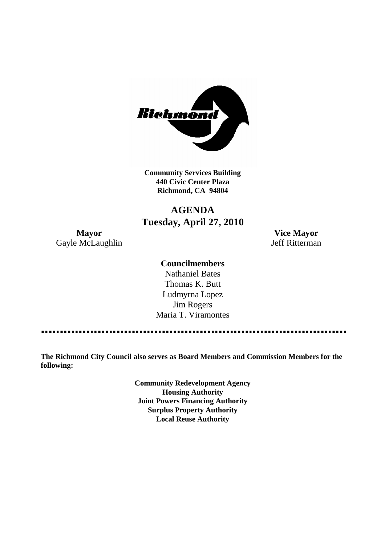

**Community Services Building 440 Civic Center Plaza Richmond, CA 94804**

## **AGENDA Tuesday, April 27, 2010**

Gayle McLaughlin Jeff Ritterman

**Mayor Vice Mayor**

#### **Councilmembers**

Nathaniel Bates Thomas K. Butt Ludmyrna Lopez Jim Rogers Maria T. Viramontes

**The Richmond City Council also serves as Board Members and Commission Members for the following:**

> **Community Redevelopment Agency Housing Authority Joint Powers Financing Authority Surplus Property Authority Local Reuse Authority**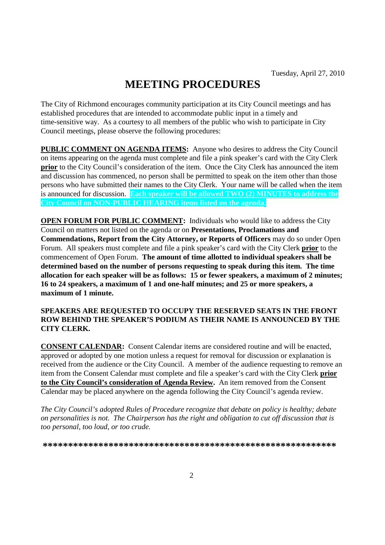# **MEETING PROCEDURES**

The City of Richmond encourages community participation at its City Council meetings and has established procedures that are intended to accommodate public input in a timely and time-sensitive way. As a courtesy to all members of the public who wish to participate in City Council meetings, please observe the following procedures:

**PUBLIC COMMENT ON AGENDA ITEMS:** Anyone who desires to address the City Council on items appearing on the agenda must complete and file a pink speaker's card with the City Clerk **prior** to the City Council's consideration of the item. Once the City Clerk has announced the item and discussion has commenced, no person shall be permitted to speak on the item other than those persons who have submitted their names to the City Clerk. Your name will be called when the item is announced for discussion. **Each speaker will be allowed TWO (2) MINUTES to address the City Council on NON-PUBLIC HEARING items listed on the agenda.**

**OPEN FORUM FOR PUBLIC COMMENT:** Individuals who would like to address the City Council on matters not listed on the agenda or on **Presentations, Proclamations and Commendations, Report from the City Attorney, or Reports of Officers** may do so under Open Forum. All speakers must complete and file a pink speaker's card with the City Clerk **prior** to the commencement of Open Forum. **The amount of time allotted to individual speakers shall be determined based on the number of persons requesting to speak during this item. The time allocation for each speaker will be as follows: 15 or fewer speakers, a maximum of 2 minutes; 16 to 24 speakers, a maximum of 1 and one-half minutes; and 25 or more speakers, a maximum of 1 minute.**

#### **SPEAKERS ARE REQUESTED TO OCCUPY THE RESERVED SEATS IN THE FRONT ROW BEHIND THE SPEAKER'S PODIUM AS THEIR NAME IS ANNOUNCED BY THE CITY CLERK.**

**CONSENT CALENDAR:** Consent Calendar items are considered routine and will be enacted, approved or adopted by one motion unless a request for removal for discussion or explanation is received from the audience or the City Council. A member of the audience requesting to remove an item from the Consent Calendar must complete and file a speaker's card with the City Clerk **prior to the City Council's consideration of Agenda Review.** An item removed from the Consent Calendar may be placed anywhere on the agenda following the City Council's agenda review.

*The City Council's adopted Rules of Procedure recognize that debate on policy is healthy; debate on personalities is not. The Chairperson has the right and obligation to cut off discussion that is too personal, too loud, or too crude.*

**\*\*\*\*\*\*\*\*\*\*\*\*\*\*\*\*\*\*\*\*\*\*\*\*\*\*\*\*\*\*\*\*\*\*\*\*\*\*\*\*\*\*\*\*\*\*\*\*\*\*\*\*\*\*\*\*\*\***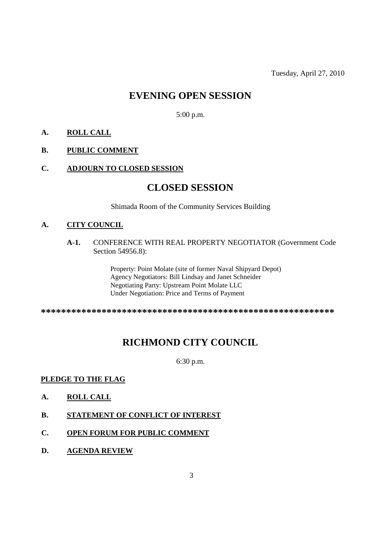## **EVENING OPEN SESSION**

5:00 p.m.

#### **A. ROLL CALL**

#### **B. PUBLIC COMMENT**

#### **C. ADJOURN TO CLOSED SESSION**

### **CLOSED SESSION**

Shimada Room of the Community Services Building

#### **A. CITY COUNCIL**

**A-1.** CONFERENCE WITH REAL PROPERTY NEGOTIATOR (Government Code Section 54956.8):

> Property: Point Molate (site of former Naval Shipyard Depot) Agency Negotiators: Bill Lindsay and Janet Schneider Negotiating Party: Upstream Point Molate LLC Under Negotiation: Price and Terms of Payment

**\*\*\*\*\*\*\*\*\*\*\*\*\*\*\*\*\*\*\*\*\*\*\*\*\*\*\*\*\*\*\*\*\*\*\*\*\*\*\*\*\*\*\*\*\*\*\*\*\*\*\*\*\*\*\*\*\*\***

# **RICHMOND CITY COUNCIL**

6:30 p.m.

#### **PLEDGE TO THE FLAG**

- **A. ROLL CALL**
- **B. STATEMENT OF CONFLICT OF INTEREST**
- **C. OPEN FORUM FOR PUBLIC COMMENT**
- **D. AGENDA REVIEW**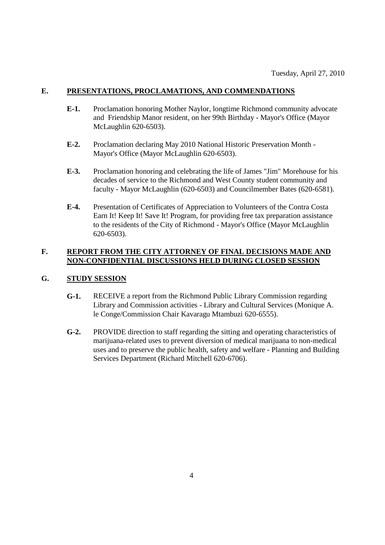#### **E. PRESENTATIONS, PROCLAMATIONS, AND COMMENDATIONS**

- **E-1.** Proclamation honoring Mother Naylor, longtime Richmond community advocate and Friendship Manor resident, on her 99th Birthday - Mayor's Office (Mayor McLaughlin 620-6503).
- **E-2.** Proclamation declaring May 2010 National Historic Preservation Month Mayor's Office (Mayor McLaughlin 620-6503).
- **E-3.** Proclamation honoring and celebrating the life of James "Jim" Morehouse for his decades of service to the Richmond and West County student community and faculty - Mayor McLaughlin (620-6503) and Councilmember Bates (620-6581).
- **E-4.** Presentation of Certificates of Appreciation to Volunteers of the Contra Costa Earn It! Keep It! Save It! Program, for providing free tax preparation assistance to the residents of the City of Richmond - Mayor's Office (Mayor McLaughlin 620-6503).

#### **F. REPORT FROM THE CITY ATTORNEY OF FINAL DECISIONS MADE AND NON-CONFIDENTIAL DISCUSSIONS HELD DURING CLOSED SESSION**

#### **G. STUDY SESSION**

- **G-1.** RECEIVE a report from the Richmond Public Library Commission regarding Library and Commission activities - Library and Cultural Services (Monique A. le Conge/Commission Chair Kavaragu Mtambuzi 620-6555).
- **G-2.** PROVIDE direction to staff regarding the sitting and operating characteristics of marijuana-related uses to prevent diversion of medical marijuana to non-medical uses and to preserve the public health, safety and welfare - Planning and Building Services Department (Richard Mitchell 620-6706).